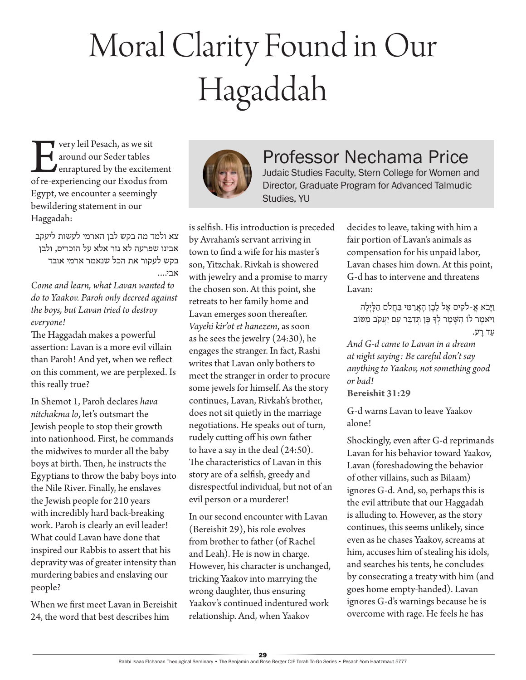# Moral Clarity Found in Our Hagaddah

**Every leil Pesach, as we sit<br>
around our Seder tables<br>
of re-experiencing our Exodus from** around our Seder tables enraptured by the excitement Egypt, we encounter a seemingly bewildering statement in our Haggadah:

צא ולמד מה בקש לבן הארמי לעשות ליעקב אבינו שפרעה לא גזר אלא על הזכרים, ולבן בקש לעקור את הכל שנאמר ארמי אובד אבי....

*Come and learn, what Lavan wanted to do to Yaakov. Paroh only decreed against the boys, but Lavan tried to destroy everyone!* 

The Haggadah makes a powerful assertion: Lavan is a more evil villain than Paroh! And yet, when we reflect on this comment, we are perplexed. Is this really true?

In Shemot 1, Paroh declares *hava nitchakma lo*, let's outsmart the Jewish people to stop their growth into nationhood. First, he commands the midwives to murder all the baby boys at birth. Then, he instructs the Egyptians to throw the baby boys into the Nile River. Finally, he enslaves the Jewish people for 210 years with incredibly hard back-breaking work. Paroh is clearly an evil leader! What could Lavan have done that inspired our Rabbis to assert that his depravity was of greater intensity than murdering babies and enslaving our people?

When we first meet Lavan in Bereishit 24, the word that best describes him



# Professor Nechama Price

Judaic Studies Faculty, Stern College for Women and Director, Graduate Program for Advanced Talmudic Studies, YU

is selfish. His introduction is preceded by Avraham's servant arriving in town to find a wife for his master's son, Yitzchak. Rivkah is showered with jewelry and a promise to marry the chosen son. At this point, she retreats to her family home and Lavan emerges soon thereafter. *Vayehi kir'ot et hanezem*, as soon as he sees the jewelry (24:30), he engages the stranger. In fact, Rashi writes that Lavan only bothers to meet the stranger in order to procure some jewels for himself. As the story continues, Lavan, Rivkah's brother, does not sit quietly in the marriage negotiations. He speaks out of turn, rudely cutting off his own father to have a say in the deal (24:50). The characteristics of Lavan in this story are of a selfish, greedy and disrespectful individual, but not of an evil person or a murderer!

In our second encounter with Lavan (Bereishit 29), his role evolves from brother to father (of Rachel and Leah). He is now in charge. However, his character is unchanged, tricking Yaakov into marrying the wrong daughter, thus ensuring Yaakov's continued indentured work relationship. And, when Yaakov

decides to leave, taking with him a fair portion of Lavan's animals as compensation for his unpaid labor, Lavan chases him down. At this point, G-d has to intervene and threatens Lavan:

וַיַּבֹא אֵ-לקִים אֵל לַבַן הָאֲרַמִּי בַּחֲלֹם הַלַּיְלַה וַ יֹאמֶ ר לֹו הִ שָ מֶ ר לְ ָך פֶ ן ְתדַ בֵ ר עִ ם יַ עֲ קֹב מִ ּטֹוב עַד רַע.

*And G-d came to Lavan in a dream at night saying: Be careful don't say anything to Yaakov, not something good or bad!* 

**Bereishit 31:29**

G-d warns Lavan to leave Yaakov alone!

Shockingly, even after G-d reprimands Lavan for his behavior toward Yaakov, Lavan (foreshadowing the behavior of other villains, such as Bilaam) ignores G-d. And, so, perhaps this is the evil attribute that our Haggadah is alluding to. However, as the story continues, this seems unlikely, since even as he chases Yaakov, screams at him, accuses him of stealing his idols, and searches his tents, he concludes by consecrating a treaty with him (and goes home empty-handed). Lavan ignores G-d's warnings because he is overcome with rage. He feels he has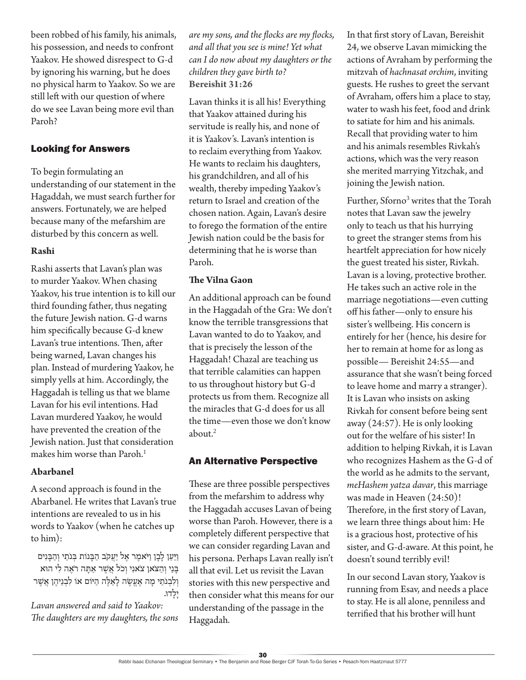been robbed of his family, his animals, his possession, and needs to confront Yaakov. He showed disrespect to G-d by ignoring his warning, but he does no physical harm to Yaakov. So we are still left with our question of where do we see Lavan being more evil than Paroh?

# Looking for Answers

To begin formulating an understanding of our statement in the Hagaddah, we must search further for answers. Fortunately, we are helped because many of the mefarshim are disturbed by this concern as well.

#### **Rashi**

Rashi asserts that Lavan's plan was to murder Yaakov. When chasing Yaakov, his true intention is to kill our third founding father, thus negating the future Jewish nation. G-d warns him specifically because G-d knew Lavan's true intentions. Then, after being warned, Lavan changes his plan. Instead of murdering Yaakov, he simply yells at him. Accordingly, the Haggadah is telling us that we blame Lavan for his evil intentions. Had Lavan murdered Yaakov, he would have prevented the creation of the Jewish nation. Just that consideration makes him worse than Paroh.<sup>1</sup>

#### **Abarbanel**

A second approach is found in the Abarbanel. He writes that Lavan's true intentions are revealed to us in his words to Yaakov (when he catches up to him):

וַיַּעַן לָבָן וַיֹּאמֶר אֵל יַעֲקֹב הַבָּנוֹת בְּנֹתַי וְהַבָּנִים בָ נַי וְ הַ צֹאן צֹאנִ י וְ כֹל אֲ ֶשר אַ תָ ה רֹאֶ ה לִ י הּוא וְ לִ בְ נֹתַ י מָ ה אֶ עֱ שֶ ה לָ אֵ לֶ ה הַ ּיֹום אֹו לִ בְ נֵיהֶ ן אֲ ֶשר יָלָ דּו.

*Lavan answered and said to Yaakov: The daughters are my daughters, the sons*  *are my sons, and the flocks are my flocks, and all that you see is mine! Yet what can I do now about my daughters or the children they gave birth to?* **Bereishit 31:26**

Lavan thinks it is all his! Everything that Yaakov attained during his servitude is really his, and none of it is Yaakov's. Lavan's intention is to reclaim everything from Yaakov. He wants to reclaim his daughters, his grandchildren, and all of his wealth, thereby impeding Yaakov's return to Israel and creation of the chosen nation. Again, Lavan's desire to forego the formation of the entire Jewish nation could be the basis for determining that he is worse than Paroh.

## **The Vilna Gaon**

An additional approach can be found in the Haggadah of the Gra: We don't know the terrible transgressions that Lavan wanted to do to Yaakov, and that is precisely the lesson of the Haggadah! Chazal are teaching us that terrible calamities can happen to us throughout history but G-d protects us from them. Recognize all the miracles that G-d does for us all the time—even those we don't know about. $2$ 

# An Alternative Perspective

These are three possible perspectives from the mefarshim to address why the Haggadah accuses Lavan of being worse than Paroh. However, there is a completely different perspective that we can consider regarding Lavan and his persona. Perhaps Lavan really isn't all that evil. Let us revisit the Lavan stories with this new perspective and then consider what this means for our understanding of the passage in the Haggadah.

In that first story of Lavan, Bereishit 24, we observe Lavan mimicking the actions of Avraham by performing the mitzvah of *hachnasat orchim*, inviting guests. He rushes to greet the servant of Avraham, offers him a place to stay, water to wash his feet, food and drink to satiate for him and his animals. Recall that providing water to him and his animals resembles Rivkah's actions, which was the very reason she merited marrying Yitzchak, and joining the Jewish nation.

Further, Sforno<sup>3</sup> writes that the Torah notes that Lavan saw the jewelry only to teach us that his hurrying to greet the stranger stems from his heartfelt appreciation for how nicely the guest treated his sister, Rivkah. Lavan is a loving, protective brother. He takes such an active role in the marriage negotiations—even cutting off his father—only to ensure his sister's wellbeing. His concern is entirely for her (hence, his desire for her to remain at home for as long as possible— Bereishit 24:55—and assurance that she wasn't being forced to leave home and marry a stranger). It is Lavan who insists on asking Rivkah for consent before being sent away (24:57). He is only looking out for the welfare of his sister! In addition to helping Rivkah, it is Lavan who recognizes Hashem as the G-d of the world as he admits to the servant, *meHashem yatza davar*, this marriage was made in Heaven (24:50)! Therefore, in the first story of Lavan, we learn three things about him: He is a gracious host, protective of his sister, and G-d-aware. At this point, he doesn't sound terribly evil!

In our second Lavan story, Yaakov is running from Esav, and needs a place to stay. He is all alone, penniless and terrified that his brother will hunt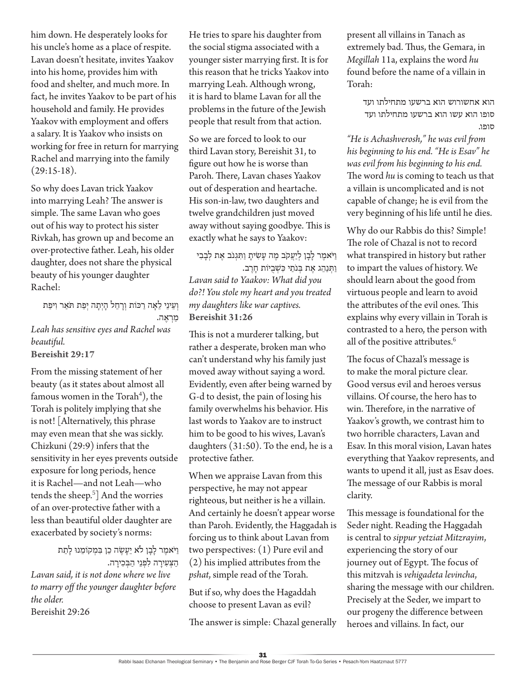him down. He desperately looks for his uncle's home as a place of respite. Lavan doesn't hesitate, invites Yaakov into his home, provides him with food and shelter, and much more. In fact, he invites Yaakov to be part of his household and family. He provides Yaakov with employment and offers a salary. It is Yaakov who insists on working for free in return for marrying Rachel and marrying into the family  $(29:15-18).$ 

So why does Lavan trick Yaakov into marrying Leah? The answer is simple. The same Lavan who goes out of his way to protect his sister Rivkah, has grown up and become an over-protective father. Leah, his older daughter, does not share the physical beauty of his younger daughter Rachel:

וְעֵינֵי לֵאָה רַכּוֹת וְרָחֵל הָיִתָה יִפַּת תֹּאַר וִיפַּת מַ רְ אֶ ה. *Leah has sensitive eyes and Rachel was beautiful.* **Bereishit 29:17**

From the missing statement of her beauty (as it states about almost all famous women in the  $Torah<sup>4</sup>$ ), the Torah is politely implying that she is not! [Alternatively, this phrase may even mean that she was sickly. Chizkuni (29:9) infers that the sensitivity in her eyes prevents outside exposure for long periods, hence it is Rachel—and not Leah—who tends the sheep.<sup>5</sup>] And the worries of an over-protective father with a less than beautiful older daughter are exacerbated by society's norms:

וַ יֹּאמֶר לַבַן לֹא יֵעֲשֶׂה כֵן בִּמְקוֹמֵנוּ לַתֵת הַצִּעִירַה לִפְנֵי הַבְּכִירַה. *Lavan said, it is not done where we live to marry off the younger daughter before the older.* Bereishit 29:26

He tries to spare his daughter from the social stigma associated with a younger sister marrying first. It is for this reason that he tricks Yaakov into marrying Leah. Although wrong, it is hard to blame Lavan for all the problems in the future of the Jewish people that result from that action.

So we are forced to look to our third Lavan story, Bereishit 31, to figure out how he is worse than Paroh. There, Lavan chases Yaakov out of desperation and heartache. His son-in-law, two daughters and twelve grandchildren just moved away without saying goodbye. This is exactly what he says to Yaakov:

וַ יֹּאמֵר לַבַן לִיַעֲקֹב מֶה עַשִׂיתַ וַתְּגִנֹב אֶת לְבַבִי וַתְּנַהֶג אֶת בְּנֹתֵי כִּשְׁבִיוֹת חַרֶב. *Lavan said to Yaakov: What did you do?! You stole my heart and you treated my daughters like war captives.* **Bereishit 31:26**

This is not a murderer talking, but rather a desperate, broken man who can't understand why his family just moved away without saying a word. Evidently, even after being warned by G-d to desist, the pain of losing his family overwhelms his behavior. His last words to Yaakov are to instruct him to be good to his wives, Lavan's daughters (31:50). To the end, he is a protective father.

When we appraise Lavan from this perspective, he may not appear righteous, but neither is he a villain. And certainly he doesn't appear worse than Paroh. Evidently, the Haggadah is forcing us to think about Lavan from two perspectives: (1) Pure evil and (2) his implied attributes from the *pshat*, simple read of the Torah.

But if so, why does the Hagaddah choose to present Lavan as evil?

The answer is simple: Chazal generally

present all villains in Tanach as extremely bad. Thus, the Gemara, in *Megillah* 11a, explains the word *hu* found before the name of a villain in Torah:

> הוא אחשורוש הוא ברשעו מתחילתו ועד סופו הוא עשו הוא ברשעו מתחילתו ועד סופו.

*"He is Achashverosh," he was evil from his beginning to his end. "He is Esav" he was evil from his beginning to his end.*  The word *hu* is coming to teach us that a villain is uncomplicated and is not capable of change; he is evil from the very beginning of his life until he dies.

Why do our Rabbis do this? Simple! The role of Chazal is not to record what transpired in history but rather to impart the values of history. We should learn about the good from virtuous people and learn to avoid the attributes of the evil ones. This explains why every villain in Torah is contrasted to a hero, the person with all of the positive attributes.<sup>6</sup>

The focus of Chazal's message is to make the moral picture clear. Good versus evil and heroes versus villains. Of course, the hero has to win. Therefore, in the narrative of Yaakov's growth, we contrast him to two horrible characters, Lavan and Esav. In this moral vision, Lavan hates everything that Yaakov represents, and wants to upend it all, just as Esav does. The message of our Rabbis is moral clarity.

This message is foundational for the Seder night. Reading the Haggadah is central to *sippur yetziat Mitzrayim*, experiencing the story of our journey out of Egypt. The focus of this mitzvah is *vehigadeta levincha*, sharing the message with our children. Precisely at the Seder, we impart to our progeny the difference between heroes and villains. In fact, our